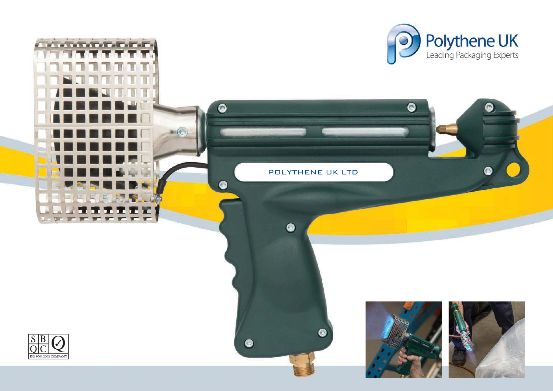



**THE REPORT OF STATISTICS**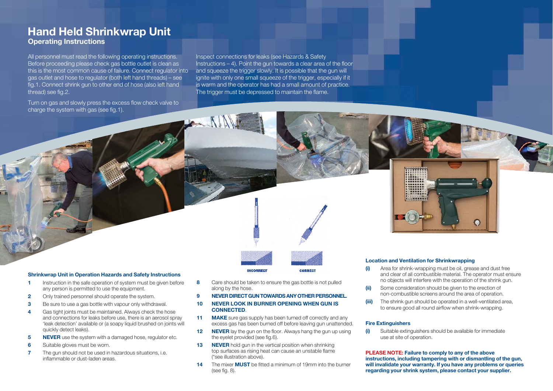# **Hand Held Shrinkwrap Unit Operating Instructions**

All personnel must read the following operating instructions. Before proceeding please check gas bottle outlet is clean as this is the most common cause of failure. Connect regulator into gas outlet and hose to regulator (both left hand threads) – see fig.1. Connect shrink gun to other end of hose (also left hand thread) see fig.2.

Turn on gas and slowly press the excess flow check valve to charge the system with gas (see fig.1).

Inspect connections for leaks (see Hazards & Safety Instructions – 4). Point the gun towards a clear area of the floor and squeeze the trigger slowly. It is possible that the gun will ignite with only one small squeeze of the trigger, especially if it is warm and the operator has had a small amount of practice. The trigger must be depressed to maintain the flame.



### **Shrinkwrap Unit in Operation Hazards and Safety Instructions**

- **1** Instruction in the safe operation of system must be given before any person is permitted to use the equipment.
- **2** Only trained personnel should operate the system.
- **3** Be sure to use a gas bottle with vapour only withdrawal.
- **4** Gas tight joints must be maintained. Always check the hose and connections for leaks before use, there is an aerosol spray 'leak detection' available or (a soapy liquid brushed on joints will quickly detect leaks).
- **5 NEVER** use the system with a damaged hose, regulator etc.
- **6** Suitable gloves must be worn.
- **7** The gun should not be used in hazardous situations, i.e. inflammable or dust-laden areas.

**8** Care should be taken to ensure the gas bottle is not pulled along by the hose.

**INCORRECT** 

## **9 NEVER DIRECT GUN TOWARDS ANY OTHER PERSONNEL.**

**CORRECT** 

- **10 NEVER LOOK IN BURNER OPENING WHEN GUN IS CONNECTED**.
- **11 MAKE** sure gas supply has been turned off correctly and any excess gas has been burned off before leaving gun unattended.
- **12 NEVER** lay the gun on the floor. Always hang the gun up using the eyelet provided (see fig.6).
- **13 NEVER** hold gun in the vertical position when shrinking top surfaces as rising heat can cause an unstable flame (\*see illustration above).
- **14** The mixer **MUST** be fitted a minimum of 19mm into the burner (see fig. 8).

#### **Location and Ventilation for Shrinkwrapping**

- **(i)** Area for shrink-wrapping must be oil, grease and dust free and clear of all combustible material. The operator must ensure no objects will interfere with the operation of the shrink gun.
- **(ii)** Some consideration should be given to the erection of non-combustible screens around the area of operation.
- **(iii)** The shrink gun should be operated in a well-ventilated area, to ensure good all round airflow when shrink-wrapping.

#### **Fire Extinguishers**

**(i)** Suitable extinguishers should be available for immediate use at site of operation.

**PLEASE NOTE: Failure to comply to any of the above instructions, including tampering with or dismantling of the gun, will invalidate your warranty. If you have any problems or queries regarding your shrink system, please contact your supplier.**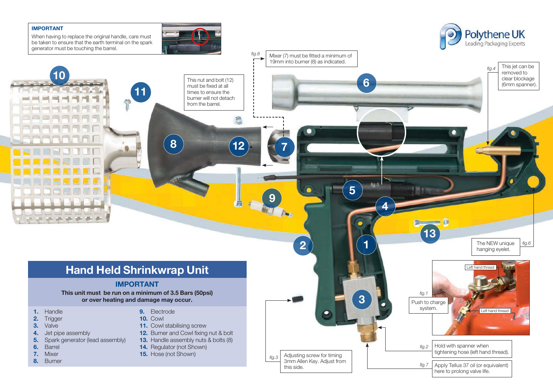